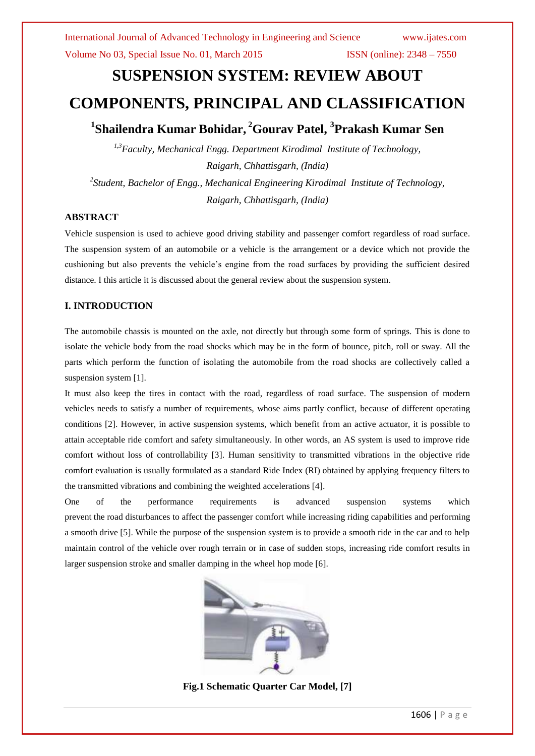# **SUSPENSION SYSTEM: REVIEW ABOUT**

# **COMPONENTS, PRINCIPAL AND CLASSIFICATION**

# **1 Shailendra Kumar Bohidar, <sup>2</sup>Gourav Patel, 3 Prakash Kumar Sen**

*1,3Faculty, Mechanical Engg. Department Kirodimal Institute of Technology, Raigarh, Chhattisgarh, (India) 2 Student, Bachelor of Engg., Mechanical Engineering Kirodimal Institute of Technology, Raigarh, Chhattisgarh, (India)*

#### **ABSTRACT**

Vehicle suspension is used to achieve good driving stability and passenger comfort regardless of road surface. The suspension system of an automobile or a vehicle is the arrangement or a device which not provide the cushioning but also prevents the vehicle's engine from the road surfaces by providing the sufficient desired distance. I this article it is discussed about the general review about the suspension system.

#### **I. INTRODUCTION**

The automobile chassis is mounted on the axle, not directly but through some form of springs. This is done to isolate the vehicle body from the road shocks which may be in the form of bounce, pitch, roll or sway. All the parts which perform the function of isolating the automobile from the road shocks are collectively called a suspension system [1].

It must also keep the tires in contact with the road, regardless of road surface. The suspension of modern vehicles needs to satisfy a number of requirements, whose aims partly conflict, because of different operating conditions [2]. However, in active suspension systems, which benefit from an active actuator, it is possible to attain acceptable ride comfort and safety simultaneously. In other words, an AS system is used to improve ride comfort without loss of controllability [3]. Human sensitivity to transmitted vibrations in the objective ride comfort evaluation is usually formulated as a standard Ride Index (RI) obtained by applying frequency filters to the transmitted vibrations and combining the weighted accelerations [4].

One of the performance requirements is advanced suspension systems which prevent the road disturbances to affect the passenger comfort while increasing riding capabilities and performing a smooth drive [5]. While the purpose of the suspension system is to provide a smooth ride in the car and to help maintain control of the vehicle over rough terrain or in case of sudden stops, increasing ride comfort results in larger suspension stroke and smaller damping in the wheel hop mode [6].



**Fig.1 Schematic Quarter Car Model, [7]**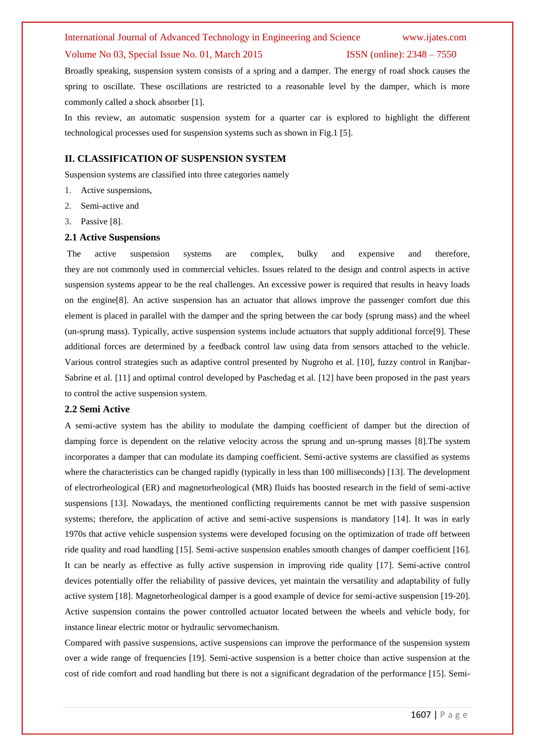#### International Journal of Advanced Technology in Engineering and Science www.ijates.com

#### Volume No 03, Special Issue No. 01, March 2015 ISSN (online): 2348 – 7550

Broadly speaking, suspension system consists of a spring and a damper. The energy of road shock causes the spring to oscillate. These oscillations are restricted to a reasonable level by the damper, which is more commonly called a shock absorber [1].

In this review, an automatic suspension system for a quarter car is explored to highlight the different technological processes used for suspension systems such as shown in Fig.1 [5].

#### **II. CLASSIFICATION OF SUSPENSION SYSTEM**

Suspension systems are classified into three categories namely

- 1. Active suspensions,
- 2. Semi-active and
- 3. Passive [8].

#### **2.1 Active Suspensions**

The active suspension systems are complex, bulky and expensive and therefore, they are not commonly used in commercial vehicles. Issues related to the design and control aspects in active suspension systems appear to be the real challenges. An excessive power is required that results in heavy loads on the engine[8]. An active suspension has an actuator that allows improve the passenger comfort due this element is placed in parallel with the damper and the spring between the car body (sprung mass) and the wheel (un-sprung mass). Typically, active suspension systems include actuators that supply additional force[9]. These additional forces are determined by a feedback control law using data from sensors attached to the vehicle. Various control strategies such as adaptive control presented by Nugroho et al. [10], fuzzy control in Ranjbar-Sabrine et al. [11] and optimal control developed by Paschedag et al. [12] have been proposed in the past years to control the active suspension system.

#### **2.2 Semi Active**

A semi-active system has the ability to modulate the damping coefficient of damper but the direction of damping force is dependent on the relative velocity across the sprung and un-sprung masses [8].The system incorporates a damper that can modulate its damping coefficient. Semi-active systems are classified as systems where the characteristics can be changed rapidly (typically in less than 100 milliseconds) [13]. The development of electrorheological (ER) and magnetorheological (MR) fluids has boosted research in the field of semi-active suspensions [13]. Nowadays, the mentioned conflicting requirements cannot be met with passive suspension systems; therefore, the application of active and semi-active suspensions is mandatory [14]. It was in early 1970s that active vehicle suspension systems were developed focusing on the optimization of trade off between ride quality and road handling [15]. Semi-active suspension enables smooth changes of damper coefficient [16]. It can be nearly as effective as fully active suspension in improving ride quality [17]. Semi-active control devices potentially offer the reliability of passive devices, yet maintain the versatility and adaptability of fully active system [18]. Magnetorheological damper is a good example of device for semi-active suspension [19-20]. Active suspension contains the power controlled actuator located between the wheels and vehicle body, for instance linear electric motor or hydraulic servomechanism.

Compared with passive suspensions, active suspensions can improve the performance of the suspension system over a wide range of frequencies [19]. Semi-active suspension is a better choice than active suspension at the cost of ride comfort and road handling but there is not a significant degradation of the performance [15]. Semi-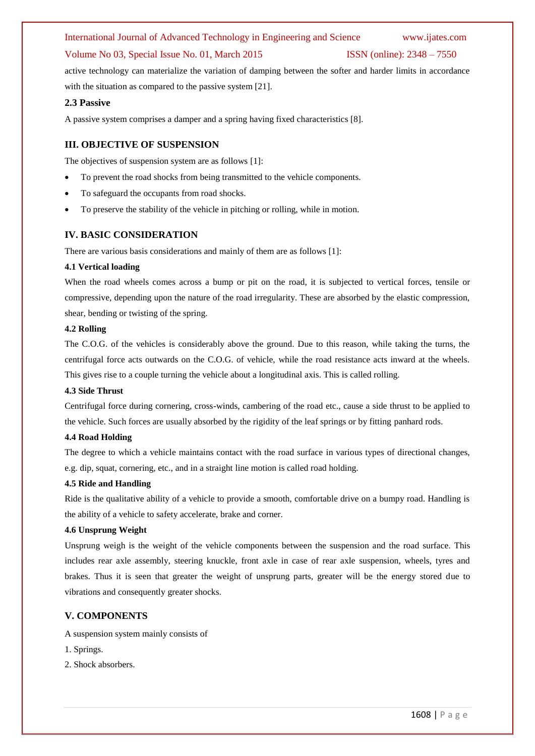## International Journal of Advanced Technology in Engineering and Science www.ijates.com

#### Volume No 03, Special Issue No. 01, March 2015 ISSN (online): 2348 – 7550

active technology can materialize the variation of damping between the softer and harder limits in accordance with the situation as compared to the passive system [21].

#### **2.3 Passive**

A passive system comprises a damper and a spring having fixed characteristics [8].

#### **III. OBJECTIVE OF SUSPENSION**

The objectives of suspension system are as follows [1]:

- To prevent the road shocks from being transmitted to the vehicle components.
- To safeguard the occupants from road shocks.
- To preserve the stability of the vehicle in pitching or rolling, while in motion.

#### **IV. BASIC CONSIDERATION**

There are various basis considerations and mainly of them are as follows [1]:

#### **4.1 Vertical loading**

When the road wheels comes across a bump or pit on the road, it is subjected to vertical forces, tensile or compressive, depending upon the nature of the road irregularity. These are absorbed by the elastic compression, shear, bending or twisting of the spring.

#### **4.2 Rolling**

The C.O.G. of the vehicles is considerably above the ground. Due to this reason, while taking the turns, the centrifugal force acts outwards on the C.O.G. of vehicle, while the road resistance acts inward at the wheels. This gives rise to a couple turning the vehicle about a longitudinal axis. This is called rolling.

#### **4.3 Side Thrust**

Centrifugal force during cornering, cross-winds, cambering of the road etc., cause a side thrust to be applied to the vehicle. Such forces are usually absorbed by the rigidity of the leaf springs or by fitting panhard rods.

#### **4.4 Road Holding**

The degree to which a vehicle maintains contact with the road surface in various types of directional changes, e.g. dip, squat, cornering, etc., and in a straight line motion is called road holding.

#### **4.5 Ride and Handling**

Ride is the qualitative ability of a vehicle to provide a smooth, comfortable drive on a bumpy road. Handling is the ability of a vehicle to safety accelerate, brake and corner.

#### **4.6 Unsprung Weight**

Unsprung weigh is the weight of the vehicle components between the suspension and the road surface. This includes rear axle assembly, steering knuckle, front axle in case of rear axle suspension, wheels, tyres and brakes. Thus it is seen that greater the weight of unsprung parts, greater will be the energy stored due to vibrations and consequently greater shocks.

#### **V. COMPONENTS**

A suspension system mainly consists of

- 1. Springs.
- 2. Shock absorbers.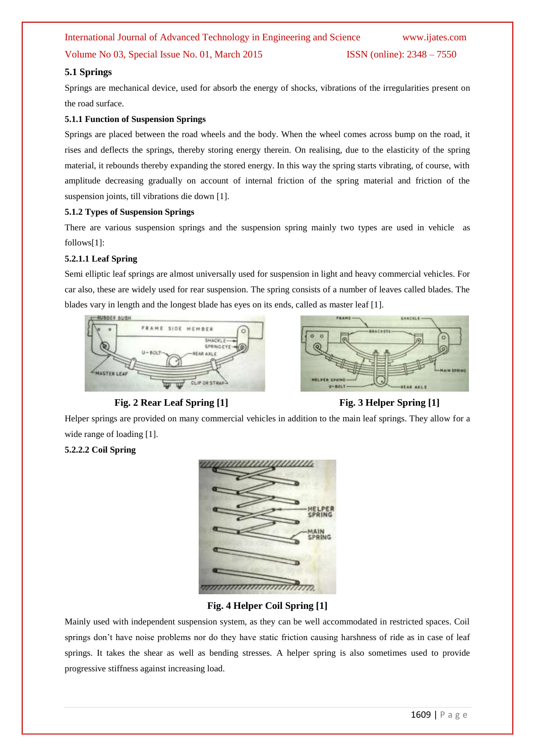# International Journal of Advanced Technology in Engineering and Science www.ijates.com Volume No 03, Special Issue No. 01, March 2015 ISSN (online): 2348 – 7550

### **5.1 Springs**

Springs are mechanical device, used for absorb the energy of shocks, vibrations of the irregularities present on the road surface.

#### **5.1.1 Function of Suspension Springs**

Springs are placed between the road wheels and the body. When the wheel comes across bump on the road, it rises and deflects the springs, thereby storing energy therein. On realising, due to the elasticity of the spring material, it rebounds thereby expanding the stored energy. In this way the spring starts vibrating, of course, with amplitude decreasing gradually on account of internal friction of the spring material and friction of the suspension joints, till vibrations die down [1].

#### **5.1.2 Types of Suspension Springs**

There are various suspension springs and the suspension spring mainly two types are used in vehicle as follows[1]:

#### **5.2.1.1 Leaf Spring**

Semi elliptic leaf springs are almost universally used for suspension in light and heavy commercial vehicles. For car also, these are widely used for rear suspension. The spring consists of a number of leaves called blades. The blades vary in length and the longest blade has eyes on its ends, called as master leaf [1].





**Fig. 2 Rear Leaf Spring** [1] **Fig. 3 Helper Spring** [1]



Helper springs are provided on many commercial vehicles in addition to the main leaf springs. They allow for a wide range of loading [1].

### **5.2.2.2 Coil Spring**



### **Fig. 4 Helper Coil Spring [1]**

Mainly used with independent suspension system, as they can be well accommodated in restricted spaces. Coil springs don't have noise problems nor do they have static friction causing harshness of ride as in case of leaf springs. It takes the shear as well as bending stresses. A helper spring is also sometimes used to provide progressive stiffness against increasing load.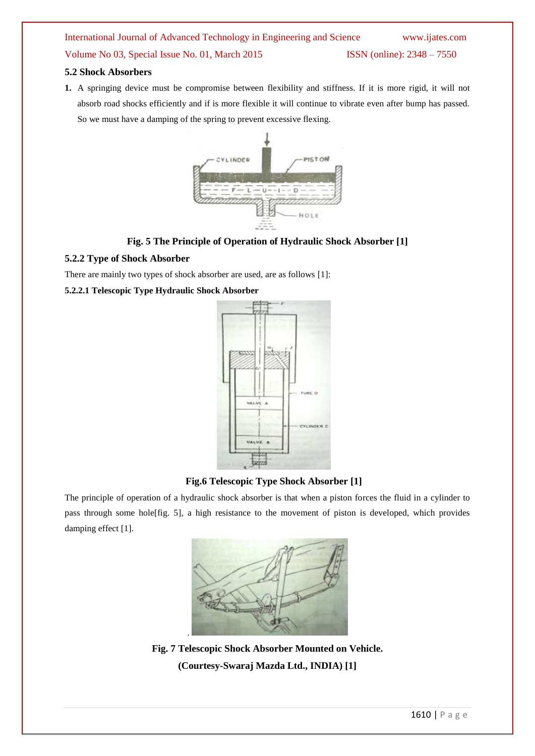# International Journal of Advanced Technology in Engineering and Science www.ijates.com Volume No 03, Special Issue No. 01, March 2015 ISSN (online): 2348 – 7550

#### **5.2 Shock Absorbers**

**1.** A springing device must be compromise between flexibility and stiffness. If it is more rigid, it will not absorb road shocks efficiently and if is more flexible it will continue to vibrate even after bump has passed. So we must have a damping of the spring to prevent excessive flexing.



**Fig. 5 The Principle of Operation of Hydraulic Shock Absorber [1]**

#### **5.2.2 Type of Shock Absorber**

There are mainly two types of shock absorber are used, are as follows [1]:

#### **5.2.2.1 Telescopic Type Hydraulic Shock Absorber**



**Fig.6 Telescopic Type Shock Absorber [1]**

The principle of operation of a hydraulic shock absorber is that when a piston forces the fluid in a cylinder to pass through some hole[fig. 5], a high resistance to the movement of piston is developed, which provides damping effect [1].



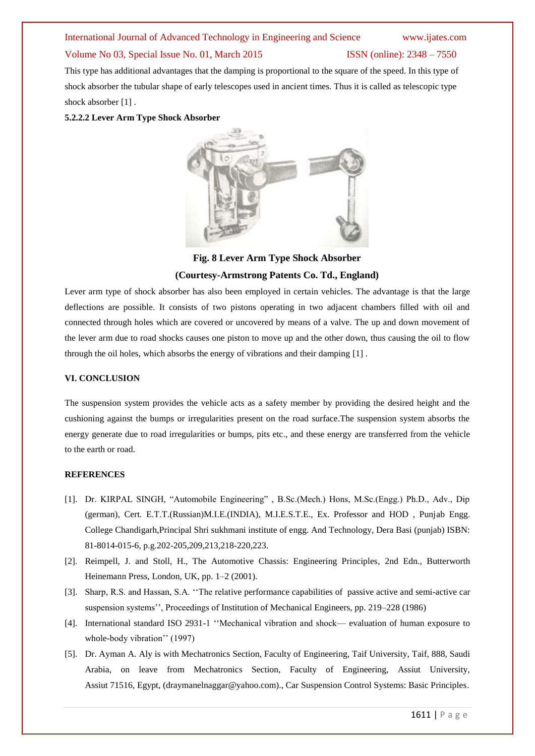#### International Journal of Advanced Technology in Engineering and Science www.ijates.com

#### Volume No 03, Special Issue No. 01, March 2015 ISSN (online): 2348 – 7550

# This type has additional advantages that the damping is proportional to the square of the speed. In this type of shock absorber the tubular shape of early telescopes used in ancient times. Thus it is called as telescopic type shock absorber [1].

#### **5.2.2.2 Lever Arm Type Shock Absorber**



**Fig. 8 Lever Arm Type Shock Absorber (Courtesy-Armstrong Patents Co. Td., England)**

Lever arm type of shock absorber has also been employed in certain vehicles. The advantage is that the large deflections are possible. It consists of two pistons operating in two adjacent chambers filled with oil and connected through holes which are covered or uncovered by means of a valve. The up and down movement of the lever arm due to road shocks causes one piston to move up and the other down, thus causing the oil to flow through the oil holes, which absorbs the energy of vibrations and their damping [1] .

#### **VI. CONCLUSION**

The suspension system provides the vehicle acts as a safety member by providing the desired height and the cushioning against the bumps or irregularities present on the road surface.The suspension system absorbs the energy generate due to road irregularities or bumps, pits etc., and these energy are transferred from the vehicle to the earth or road.

#### **REFERENCES**

- [1]. Dr. KIRPAL SINGH, "Automobile Engineering", B.Sc.(Mech.) Hons, M.Sc.(Engg.) Ph.D., Adv., Dip (german), Cert. E.T.T.(Russian)M.I.E.(INDIA), M.I.E.S.T.E., Ex. Professor and HOD , Punjab Engg. College Chandigarh,Principal Shri sukhmani institute of engg. And Technology, Dera Basi (punjab) ISBN: 81-8014-015-6, p.g.202-205,209,213,218-220,223.
- [2]. Reimpell, J. and Stoll, H., The Automotive Chassis: Engineering Principles, 2nd Edn., Butterworth Heinemann Press, London, UK, pp. 1–2 (2001).
- [3]. Sharp, R.S. and Hassan, S.A. "The relative performance capabilities of passive active and semi-active car suspension systems'', Proceedings of Institution of Mechanical Engineers, pp. 219–228 (1986)
- [4]. International standard ISO 2931-1 "Mechanical vibration and shock— evaluation of human exposure to whole-body vibration'' (1997)
- [5]. Dr. Ayman A. Aly is with Mechatronics Section, Faculty of Engineering, Taif University, Taif, 888, Saudi Arabia, on leave from Mechatronics Section, Faculty of Engineering, Assiut University, Assiut 71516, Egypt, (draymanelnaggar@yahoo.com)., Car Suspension Control Systems: Basic Principles.